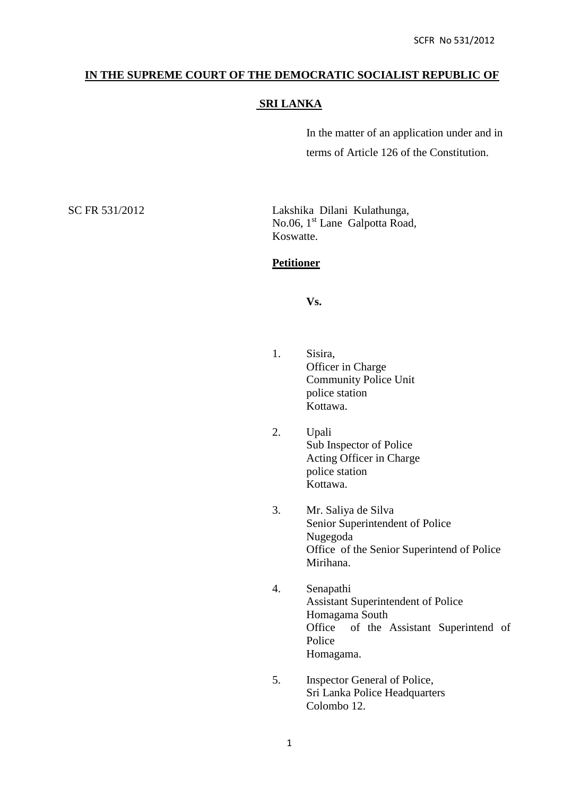### **IN THE SUPREME COURT OF THE DEMOCRATIC SOCIALIST REPUBLIC OF**

# **SRI LANKA**

In the matter of an application under and in terms of Article 126 of the Constitution.

SC FR 531/2012 Lakshika Dilani Kulathunga, No.06, 1<sup>st</sup> Lane Galpotta Road, Koswatte.

#### **Petitioner**

### **Vs.**

- 1. Sisira, Officer in Charge Community Police Unit police station Kottawa.
- 2. Upali Sub Inspector of Police Acting Officer in Charge police station Kottawa.
- 3. Mr. Saliya de Silva Senior Superintendent of Police Nugegoda Office of the Senior Superintend of Police Mirihana.
- 4. Senapathi Assistant Superintendent of Police Homagama South Office of the Assistant Superintend of Police Homagama.
- 5. Inspector General of Police, Sri Lanka Police Headquarters Colombo 12.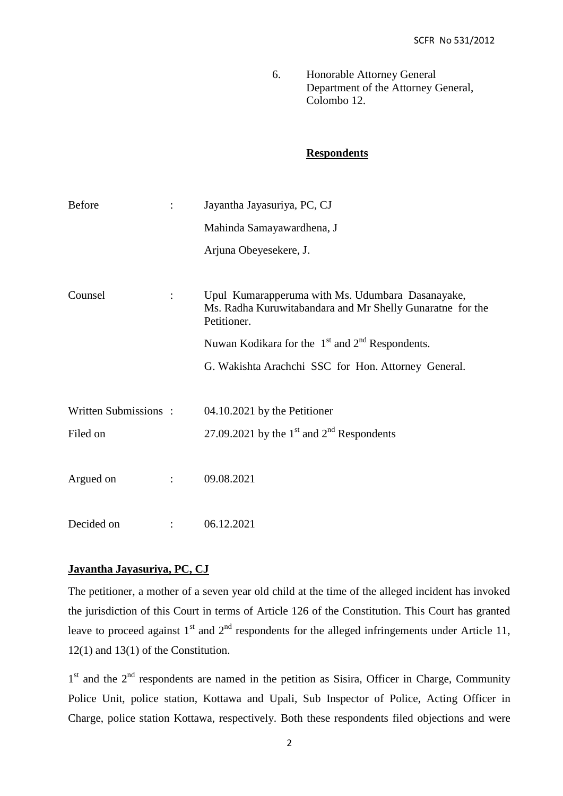6. Honorable Attorney General Department of the Attorney General, Colombo 12.

# **Respondents**

| <b>Before</b>        |                | Jayantha Jayasuriya, PC, CJ                                                                                                  |
|----------------------|----------------|------------------------------------------------------------------------------------------------------------------------------|
|                      |                | Mahinda Samayawardhena, J                                                                                                    |
|                      |                | Arjuna Obeyesekere, J.                                                                                                       |
|                      |                |                                                                                                                              |
| Counsel              | $\ddot{\cdot}$ | Upul Kumarapperuma with Ms. Udumbara Dasanayake,<br>Ms. Radha Kuruwitabandara and Mr Shelly Gunaratne for the<br>Petitioner. |
|                      |                | Nuwan Kodikara for the $1st$ and $2nd$ Respondents.                                                                          |
|                      |                | G. Wakishta Arachchi SSC for Hon. Attorney General.                                                                          |
|                      |                |                                                                                                                              |
| Written Submissions: |                | 04.10.2021 by the Petitioner                                                                                                 |
| Filed on             |                | 27.09.2021 by the $1st$ and $2nd$ Respondents                                                                                |
|                      |                |                                                                                                                              |
| Argued on            | $\ddot{\cdot}$ | 09.08.2021                                                                                                                   |
|                      |                |                                                                                                                              |
| Decided on           |                | 06.12.2021                                                                                                                   |

# **Jayantha Jayasuriya, PC, CJ**

The petitioner, a mother of a seven year old child at the time of the alleged incident has invoked the jurisdiction of this Court in terms of Article 126 of the Constitution. This Court has granted leave to proceed against  $1<sup>st</sup>$  and  $2<sup>nd</sup>$  respondents for the alleged infringements under Article 11, 12(1) and 13(1) of the Constitution.

1<sup>st</sup> and the 2<sup>nd</sup> respondents are named in the petition as Sisira, Officer in Charge, Community Police Unit, police station, Kottawa and Upali, Sub Inspector of Police, Acting Officer in Charge, police station Kottawa, respectively. Both these respondents filed objections and were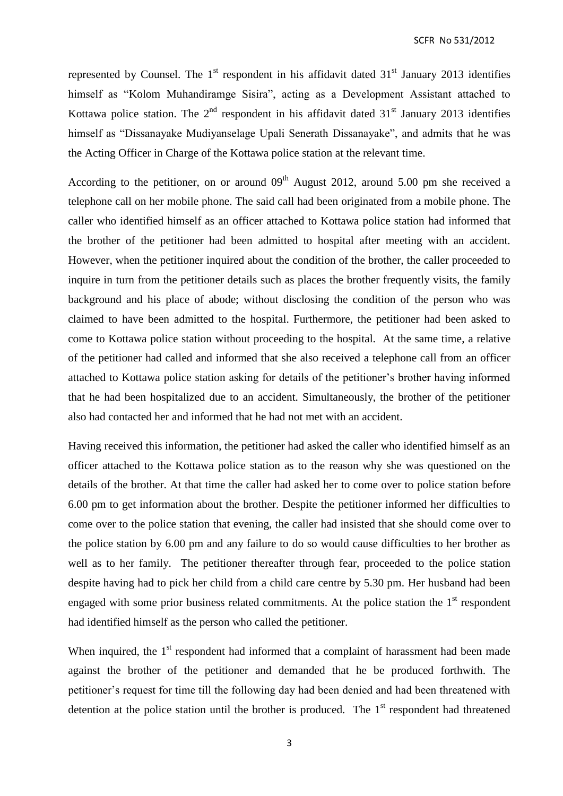represented by Counsel. The  $1<sup>st</sup>$  respondent in his affidavit dated  $31<sup>st</sup>$  January 2013 identifies himself as "Kolom Muhandiramge Sisira", acting as a Development Assistant attached to Kottawa police station. The  $2<sup>nd</sup>$  respondent in his affidavit dated  $31<sup>st</sup>$  January 2013 identifies himself as "Dissanayake Mudiyanselage Upali Senerath Dissanayake", and admits that he was the Acting Officer in Charge of the Kottawa police station at the relevant time.

According to the petitioner, on or around  $09<sup>th</sup>$  August 2012, around 5.00 pm she received a telephone call on her mobile phone. The said call had been originated from a mobile phone. The caller who identified himself as an officer attached to Kottawa police station had informed that the brother of the petitioner had been admitted to hospital after meeting with an accident. However, when the petitioner inquired about the condition of the brother, the caller proceeded to inquire in turn from the petitioner details such as places the brother frequently visits, the family background and his place of abode; without disclosing the condition of the person who was claimed to have been admitted to the hospital. Furthermore, the petitioner had been asked to come to Kottawa police station without proceeding to the hospital. At the same time, a relative of the petitioner had called and informed that she also received a telephone call from an officer attached to Kottawa police station asking for details of the petitioner's brother having informed that he had been hospitalized due to an accident. Simultaneously, the brother of the petitioner also had contacted her and informed that he had not met with an accident.

Having received this information, the petitioner had asked the caller who identified himself as an officer attached to the Kottawa police station as to the reason why she was questioned on the details of the brother. At that time the caller had asked her to come over to police station before 6.00 pm to get information about the brother. Despite the petitioner informed her difficulties to come over to the police station that evening, the caller had insisted that she should come over to the police station by 6.00 pm and any failure to do so would cause difficulties to her brother as well as to her family. The petitioner thereafter through fear, proceeded to the police station despite having had to pick her child from a child care centre by 5.30 pm. Her husband had been engaged with some prior business related commitments. At the police station the 1<sup>st</sup> respondent had identified himself as the person who called the petitioner.

When inquired, the  $1<sup>st</sup>$  respondent had informed that a complaint of harassment had been made against the brother of the petitioner and demanded that he be produced forthwith. The petitioner's request for time till the following day had been denied and had been threatened with detention at the police station until the brother is produced. The  $1<sup>st</sup>$  respondent had threatened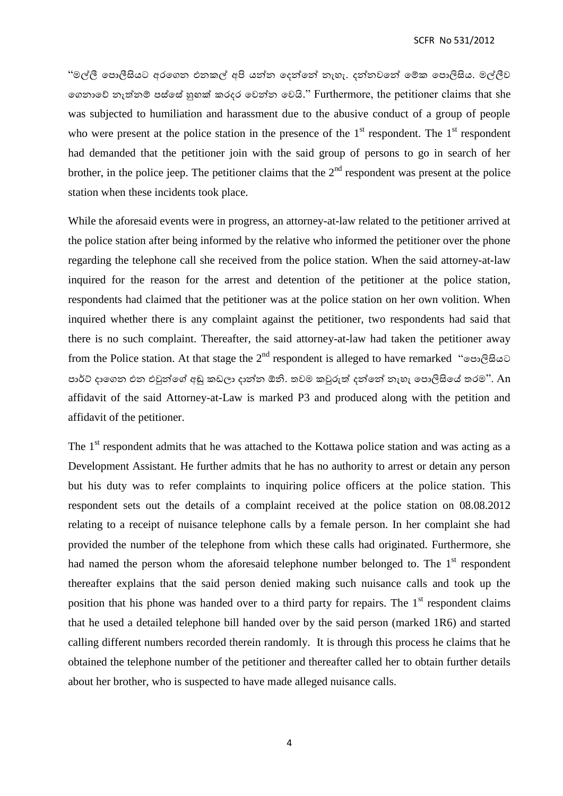SCFR No 531/2012

"මල්ලී පොලීසියට අරගෙන එනකල් අපි යන්න දෙන්නේ නැහැ. දන්නවනේ මේක පොලිසිය. මල්ලීව පෙනාපේ නැත්නේ ස්පසේ හුඟක් කරෙර පවන්න පවයි." Furthermore, the petitioner claims that she was subjected to humiliation and harassment due to the abusive conduct of a group of people who were present at the police station in the presence of the  $1<sup>st</sup>$  respondent. The  $1<sup>st</sup>$  respondent had demanded that the petitioner join with the said group of persons to go in search of her brother, in the police jeep. The petitioner claims that the  $2<sup>nd</sup>$  respondent was present at the police station when these incidents took place.

While the aforesaid events were in progress, an attorney-at-law related to the petitioner arrived at the police station after being informed by the relative who informed the petitioner over the phone regarding the telephone call she received from the police station. When the said attorney-at-law inquired for the reason for the arrest and detention of the petitioner at the police station, respondents had claimed that the petitioner was at the police station on her own volition. When inquired whether there is any complaint against the petitioner, two respondents had said that there is no such complaint. Thereafter, the said attorney-at-law had taken the petitioner away from the Police station. At that stage the 2<sup>nd</sup> respondent is alleged to have remarked "පොලිසියට පාර්ට් දාගෙන එන එවුන්ගේ අඬු කඩලා දාන්න ඕනි. තවම කවුරුත් දන්නේ නැහැ පොලිසියේ තරම". An affidavit of the said Attorney-at-Law is marked P3 and produced along with the petition and affidavit of the petitioner.

The  $1<sup>st</sup>$  respondent admits that he was attached to the Kottawa police station and was acting as a Development Assistant. He further admits that he has no authority to arrest or detain any person but his duty was to refer complaints to inquiring police officers at the police station. This respondent sets out the details of a complaint received at the police station on 08.08.2012 relating to a receipt of nuisance telephone calls by a female person. In her complaint she had provided the number of the telephone from which these calls had originated. Furthermore, she had named the person whom the aforesaid telephone number belonged to. The  $1<sup>st</sup>$  respondent thereafter explains that the said person denied making such nuisance calls and took up the position that his phone was handed over to a third party for repairs. The  $1<sup>st</sup>$  respondent claims that he used a detailed telephone bill handed over by the said person (marked 1R6) and started calling different numbers recorded therein randomly. It is through this process he claims that he obtained the telephone number of the petitioner and thereafter called her to obtain further details about her brother, who is suspected to have made alleged nuisance calls.

4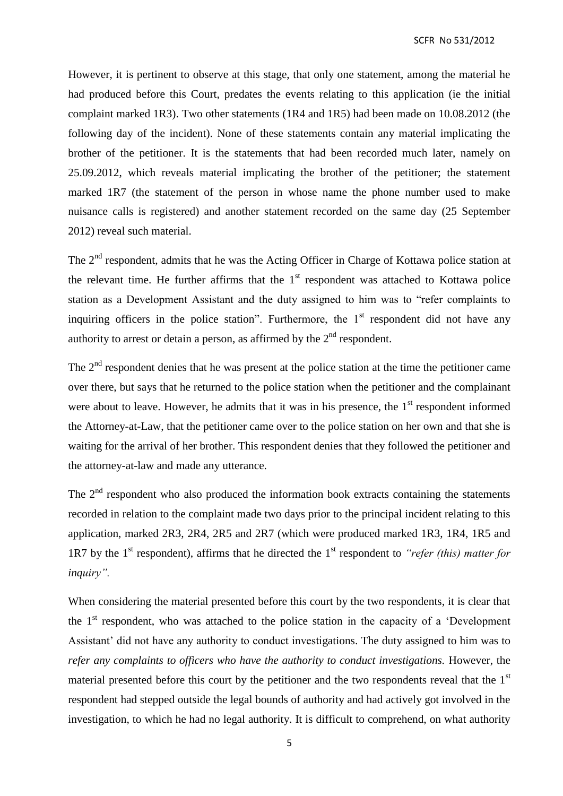SCFR No 531/2012

However, it is pertinent to observe at this stage, that only one statement, among the material he had produced before this Court, predates the events relating to this application (ie the initial complaint marked 1R3). Two other statements (1R4 and 1R5) had been made on 10.08.2012 (the following day of the incident). None of these statements contain any material implicating the brother of the petitioner. It is the statements that had been recorded much later, namely on 25.09.2012, which reveals material implicating the brother of the petitioner; the statement marked 1R7 (the statement of the person in whose name the phone number used to make nuisance calls is registered) and another statement recorded on the same day (25 September 2012) reveal such material.

The 2<sup>nd</sup> respondent, admits that he was the Acting Officer in Charge of Kottawa police station at the relevant time. He further affirms that the  $1<sup>st</sup>$  respondent was attached to Kottawa police station as a Development Assistant and the duty assigned to him was to "refer complaints to inquiring officers in the police station". Furthermore, the  $1<sup>st</sup>$  respondent did not have any authority to arrest or detain a person, as affirmed by the  $2<sup>nd</sup>$  respondent.

The 2<sup>nd</sup> respondent denies that he was present at the police station at the time the petitioner came over there, but says that he returned to the police station when the petitioner and the complainant were about to leave. However, he admits that it was in his presence, the  $1<sup>st</sup>$  respondent informed the Attorney-at-Law, that the petitioner came over to the police station on her own and that she is waiting for the arrival of her brother. This respondent denies that they followed the petitioner and the attorney-at-law and made any utterance.

The  $2<sup>nd</sup>$  respondent who also produced the information book extracts containing the statements recorded in relation to the complaint made two days prior to the principal incident relating to this application, marked 2R3, 2R4, 2R5 and 2R7 (which were produced marked 1R3, 1R4, 1R5 and 1R7 by the 1st respondent), affirms that he directed the 1st respondent to *"refer (this) matter for inquiry".* 

When considering the material presented before this court by the two respondents, it is clear that the  $1<sup>st</sup>$  respondent, who was attached to the police station in the capacity of a 'Development Assistant' did not have any authority to conduct investigations. The duty assigned to him was to *refer any complaints to officers who have the authority to conduct investigations.* However, the material presented before this court by the petitioner and the two respondents reveal that the  $1<sup>st</sup>$ respondent had stepped outside the legal bounds of authority and had actively got involved in the investigation, to which he had no legal authority. It is difficult to comprehend, on what authority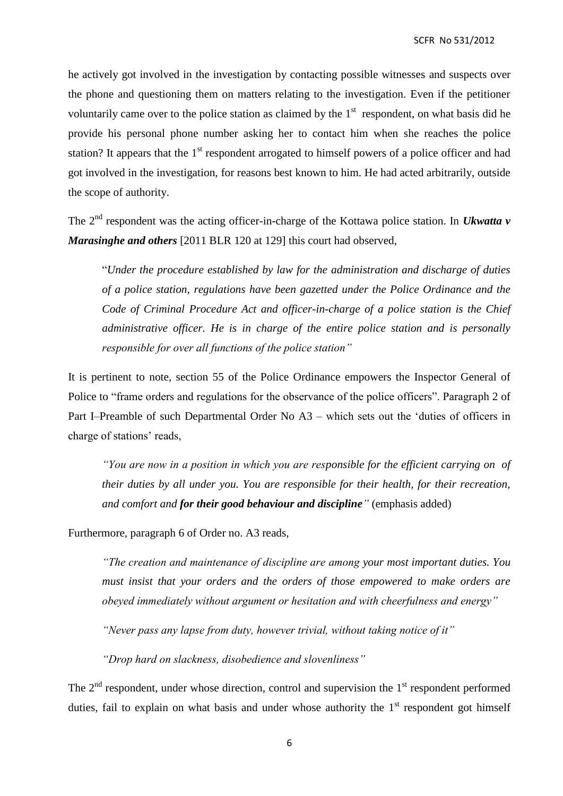he actively got involved in the investigation by contacting possible witnesses and suspects over the phone and questioning them on matters relating to the investigation. Even if the petitioner voluntarily came over to the police station as claimed by the  $1<sup>st</sup>$  respondent, on what basis did he provide his personal phone number asking her to contact him when she reaches the police station? It appears that the  $1<sup>st</sup>$  respondent arrogated to himself powers of a police officer and had got involved in the investigation, for reasons best known to him. He had acted arbitrarily, outside the scope of authority.

The 2<sup>nd</sup> respondent was the acting officer-in-charge of the Kottawa police station. In *Ukwatta v Marasinghe and others* [2011 BLR 120 at 129] this court had observed,

"*Under the procedure established by law for the administration and discharge of duties of a police station, regulations have been gazetted under the Police Ordinance and the Code of Criminal Procedure Act and officer-in-charge of a police station is the Chief administrative officer. He is in charge of the entire police station and is personally responsible for over all functions of the police station"*

It is pertinent to note, section 55 of the Police Ordinance empowers the Inspector General of Police to "frame orders and regulations for the observance of the police officers". Paragraph 2 of Part I–Preamble of such Departmental Order No A3 – which sets out the 'duties of officers in charge of stations' reads,

*"You are now in a position in which you are responsible for the efficient carrying on of their duties by all under you. You are responsible for their health, for their recreation, and comfort and for their good behaviour and discipline"* (emphasis added)

Furthermore, paragraph 6 of Order no. A3 reads,

*"The creation and maintenance of discipline are among your most important duties. You must insist that your orders and the orders of those empowered to make orders are obeyed immediately without argument or hesitation and with cheerfulness and energy"*

*"Never pass any lapse from duty, however trivial, without taking notice of it"*

*"Drop hard on slackness, disobedience and slovenliness"*

The  $2<sup>nd</sup>$  respondent, under whose direction, control and supervision the  $1<sup>st</sup>$  respondent performed duties, fail to explain on what basis and under whose authority the  $1<sup>st</sup>$  respondent got himself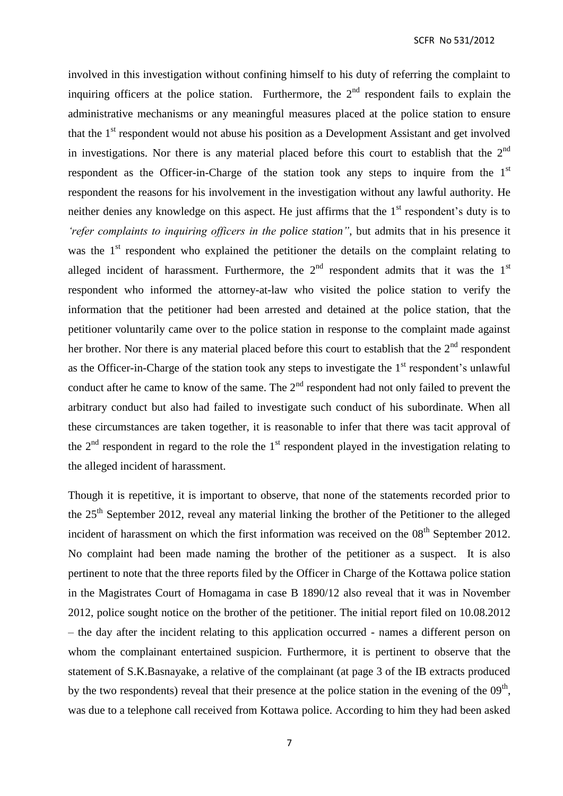involved in this investigation without confining himself to his duty of referring the complaint to inquiring officers at the police station. Furthermore, the  $2<sup>nd</sup>$  respondent fails to explain the administrative mechanisms or any meaningful measures placed at the police station to ensure that the  $1<sup>st</sup>$  respondent would not abuse his position as a Development Assistant and get involved in investigations. Nor there is any material placed before this court to establish that the  $2<sup>nd</sup>$ respondent as the Officer-in-Charge of the station took any steps to inquire from the  $1<sup>st</sup>$ respondent the reasons for his involvement in the investigation without any lawful authority. He neither denies any knowledge on this aspect. He just affirms that the  $1<sup>st</sup>$  respondent's duty is to *'refer complaints to inquiring officers in the police station"*, but admits that in his presence it was the  $1<sup>st</sup>$  respondent who explained the petitioner the details on the complaint relating to alleged incident of harassment. Furthermore, the  $2<sup>nd</sup>$  respondent admits that it was the  $1<sup>st</sup>$ respondent who informed the attorney-at-law who visited the police station to verify the information that the petitioner had been arrested and detained at the police station, that the petitioner voluntarily came over to the police station in response to the complaint made against her brother. Nor there is any material placed before this court to establish that the  $2<sup>nd</sup>$  respondent as the Officer-in-Charge of the station took any steps to investigate the  $1<sup>st</sup>$  respondent's unlawful conduct after he came to know of the same. The  $2<sup>nd</sup>$  respondent had not only failed to prevent the arbitrary conduct but also had failed to investigate such conduct of his subordinate. When all these circumstances are taken together, it is reasonable to infer that there was tacit approval of the  $2<sup>nd</sup>$  respondent in regard to the role the 1<sup>st</sup> respondent played in the investigation relating to the alleged incident of harassment.

Though it is repetitive, it is important to observe, that none of the statements recorded prior to the 25<sup>th</sup> September 2012, reveal any material linking the brother of the Petitioner to the alleged incident of harassment on which the first information was received on the  $08<sup>th</sup>$  September 2012. No complaint had been made naming the brother of the petitioner as a suspect. It is also pertinent to note that the three reports filed by the Officer in Charge of the Kottawa police station in the Magistrates Court of Homagama in case B 1890/12 also reveal that it was in November 2012, police sought notice on the brother of the petitioner. The initial report filed on 10.08.2012 – the day after the incident relating to this application occurred - names a different person on whom the complainant entertained suspicion. Furthermore, it is pertinent to observe that the statement of S.K.Basnayake, a relative of the complainant (at page 3 of the IB extracts produced by the two respondents) reveal that their presence at the police station in the evening of the  $09<sup>th</sup>$ , was due to a telephone call received from Kottawa police. According to him they had been asked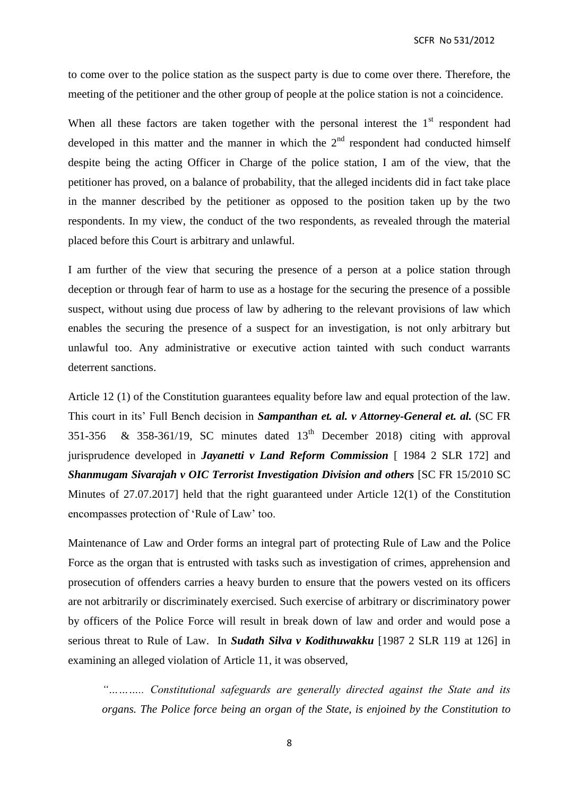to come over to the police station as the suspect party is due to come over there. Therefore, the meeting of the petitioner and the other group of people at the police station is not a coincidence.

When all these factors are taken together with the personal interest the  $1<sup>st</sup>$  respondent had developed in this matter and the manner in which the  $2<sup>nd</sup>$  respondent had conducted himself despite being the acting Officer in Charge of the police station, I am of the view, that the petitioner has proved, on a balance of probability, that the alleged incidents did in fact take place in the manner described by the petitioner as opposed to the position taken up by the two respondents. In my view, the conduct of the two respondents, as revealed through the material placed before this Court is arbitrary and unlawful.

I am further of the view that securing the presence of a person at a police station through deception or through fear of harm to use as a hostage for the securing the presence of a possible suspect, without using due process of law by adhering to the relevant provisions of law which enables the securing the presence of a suspect for an investigation, is not only arbitrary but unlawful too. Any administrative or executive action tainted with such conduct warrants deterrent sanctions.

Article 12 (1) of the Constitution guarantees equality before law and equal protection of the law. This court in its' Full Bench decision in *Sampanthan et. al. v Attorney-General et. al.* (SC FR 351-356 & 358-361/19, SC minutes dated  $13<sup>th</sup>$  December 2018) citing with approval jurisprudence developed in *Jayanetti v Land Reform Commission* [ 1984 2 SLR 172] and *Shanmugam Sivarajah v OIC Terrorist Investigation Division and others* [SC FR 15/2010 SC Minutes of 27.07.2017] held that the right guaranteed under Article 12(1) of the Constitution encompasses protection of 'Rule of Law' too.

Maintenance of Law and Order forms an integral part of protecting Rule of Law and the Police Force as the organ that is entrusted with tasks such as investigation of crimes, apprehension and prosecution of offenders carries a heavy burden to ensure that the powers vested on its officers are not arbitrarily or discriminately exercised. Such exercise of arbitrary or discriminatory power by officers of the Police Force will result in break down of law and order and would pose a serious threat to Rule of Law. In *Sudath Silva v Kodithuwakku* [1987 2 SLR 119 at 126] in examining an alleged violation of Article 11, it was observed,

*"……….. Constitutional safeguards are generally directed against the State and its organs. The Police force being an organ of the State, is enjoined by the Constitution to*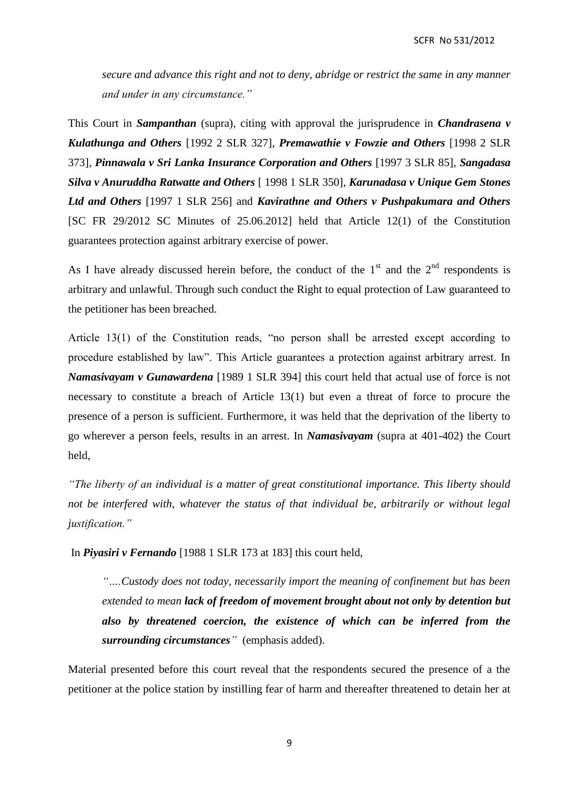*secure and advance this right and not to deny, abridge or restrict the same in any manner and under in any circumstance."*

This Court in *Sampanthan* (supra), citing with approval the jurisprudence in *Chandrasena v Kulathunga and Others* [1992 2 SLR 327], *Premawathie v Fowzie and Others* [1998 2 SLR 373], *Pinnawala v Sri Lanka Insurance Corporation and Others* [1997 3 SLR 85], *Sangadasa Silva v Anuruddha Ratwatte and Others* [ 1998 1 SLR 350], *Karunadasa v Unique Gem Stones Ltd and Others* [1997 1 SLR 256] and *Kavirathne and Others v Pushpakumara and Others* [SC FR 29/2012 SC Minutes of 25.06.2012] held that Article 12(1) of the Constitution guarantees protection against arbitrary exercise of power.

As I have already discussed herein before, the conduct of the  $1<sup>st</sup>$  and the  $2<sup>nd</sup>$  respondents is arbitrary and unlawful. Through such conduct the Right to equal protection of Law guaranteed to the petitioner has been breached.

Article 13(1) of the Constitution reads, "no person shall be arrested except according to procedure established by law". This Article guarantees a protection against arbitrary arrest. In *Namasivayam v Gunawardena* [1989 1 SLR 394] this court held that actual use of force is not necessary to constitute a breach of Article 13(1) but even a threat of force to procure the presence of a person is sufficient. Furthermore, it was held that the deprivation of the liberty to go wherever a person feels, results in an arrest. In *Namasivayam* (supra at 401-402) the Court held,

*"The liberty of an individual is a matter of great constitutional importance. This liberty should not be interfered with, whatever the status of that individual be, arbitrarily or without legal justification."* 

In *Piyasiri v Fernando* [1988 1 SLR 173 at 183] this court held,

*"….Custody does not today, necessarily import the meaning of confinement but has been extended to mean lack of freedom of movement brought about not only by detention but also by threatened coercion, the existence of which can be inferred from the surrounding circumstances"* (emphasis added).

Material presented before this court reveal that the respondents secured the presence of a the petitioner at the police station by instilling fear of harm and thereafter threatened to detain her at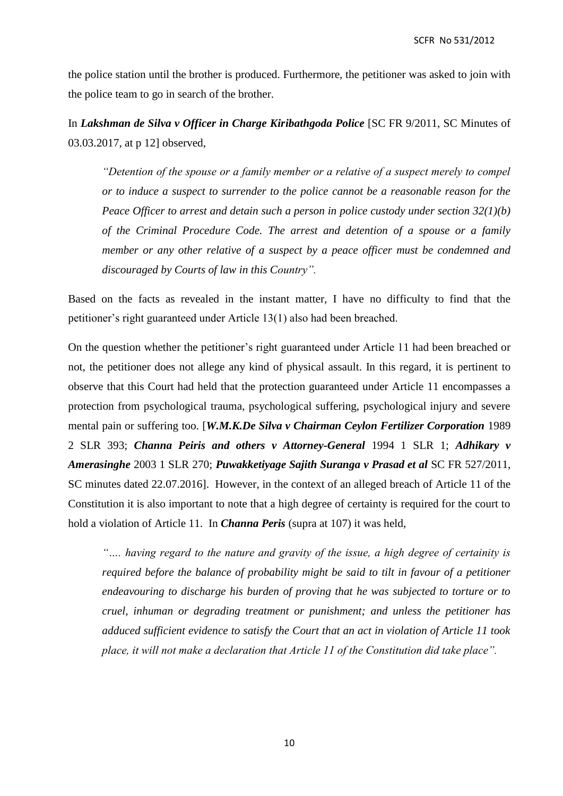the police station until the brother is produced. Furthermore, the petitioner was asked to join with the police team to go in search of the brother.

In *Lakshman de Silva v Officer in Charge Kiribathgoda Police* [SC FR 9/2011, SC Minutes of 03.03.2017, at p 12] observed,

*"Detention of the spouse or a family member or a relative of a suspect merely to compel or to induce a suspect to surrender to the police cannot be a reasonable reason for the Peace Officer to arrest and detain such a person in police custody under section 32(1)(b) of the Criminal Procedure Code. The arrest and detention of a spouse or a family member or any other relative of a suspect by a peace officer must be condemned and discouraged by Courts of law in this Country".*

Based on the facts as revealed in the instant matter, I have no difficulty to find that the petitioner's right guaranteed under Article 13(1) also had been breached.

On the question whether the petitioner's right guaranteed under Article 11 had been breached or not, the petitioner does not allege any kind of physical assault. In this regard, it is pertinent to observe that this Court had held that the protection guaranteed under Article 11 encompasses a protection from psychological trauma, psychological suffering, psychological injury and severe mental pain or suffering too. [*W.M.K.De Silva v Chairman Ceylon Fertilizer Corporation* 1989 2 SLR 393; *Channa Peiris and others v Attorney-General* 1994 1 SLR 1; *Adhikary v Amerasinghe* 2003 1 SLR 270; *Puwakketiyage Sajith Suranga v Prasad et al* SC FR 527/2011, SC minutes dated 22.07.2016]. However, in the context of an alleged breach of Article 11 of the Constitution it is also important to note that a high degree of certainty is required for the court to hold a violation of Article 11. In *Channa Peris* (supra at 107) it was held,

*"…. having regard to the nature and gravity of the issue, a high degree of certainity is required before the balance of probability might be said to tilt in favour of a petitioner endeavouring to discharge his burden of proving that he was subjected to torture or to cruel, inhuman or degrading treatment or punishment; and unless the petitioner has adduced sufficient evidence to satisfy the Court that an act in violation of Article 11 took place, it will not make a declaration that Article 11 of the Constitution did take place".*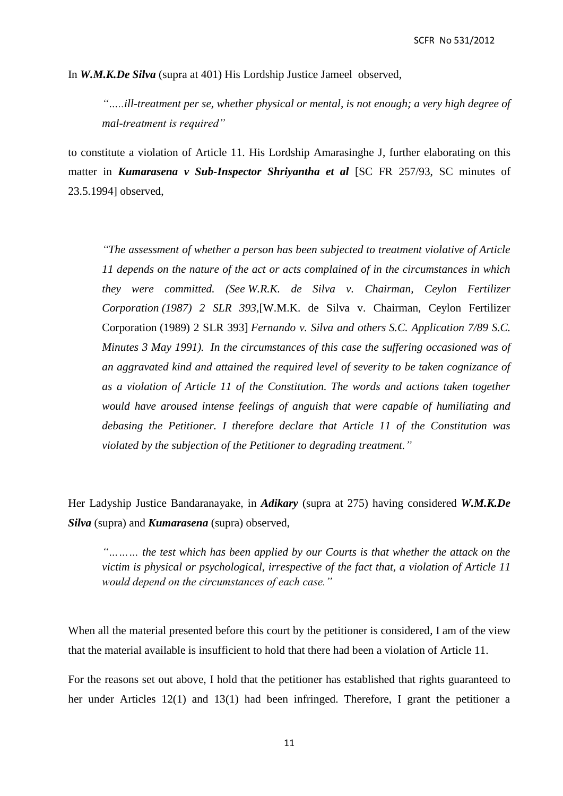In *W.M.K.De Silva* (supra at 401) His Lordship Justice Jameel observed,

*"…..ill-treatment per se, whether physical or mental, is not enough; a very high degree of mal-treatment is required"*

to constitute a violation of Article 11. His Lordship Amarasinghe J, further elaborating on this matter in *Kumarasena v Sub-Inspector Shriyantha et al* [SC FR 257/93, SC minutes of 23.5.1994] observed,

*"The assessment of whether a person has been subjected to treatment violative of Article 11 depends on the nature of the act or acts complained of in the circumstances in which they were committed. (See W.R.K. de Silva v. Chairman, Ceylon Fertilizer Corporation (1987) 2 SLR 393,*[W.M.K. de Silva v. Chairman, Ceylon Fertilizer Corporation (1989) 2 SLR 393] *Fernando v. Silva and others S.C. Application 7/89 S.C. Minutes 3 May 1991). In the circumstances of this case the suffering occasioned was of an aggravated kind and attained the required level of severity to be taken cognizance of as a violation of Article 11 of the Constitution. The words and actions taken together would have aroused intense feelings of anguish that were capable of humiliating and debasing the Petitioner. I therefore declare that Article 11 of the Constitution was violated by the subjection of the Petitioner to degrading treatment."*

Her Ladyship Justice Bandaranayake, in *Adikary* (supra at 275) having considered *W.M.K.De Silva* (supra) and *Kumarasena* (supra) observed,

*"……… the test which has been applied by our Courts is that whether the attack on the victim is physical or psychological, irrespective of the fact that, a violation of Article 11 would depend on the circumstances of each case."*

When all the material presented before this court by the petitioner is considered, I am of the view that the material available is insufficient to hold that there had been a violation of Article 11.

For the reasons set out above, I hold that the petitioner has established that rights guaranteed to her under Articles 12(1) and 13(1) had been infringed. Therefore, I grant the petitioner a